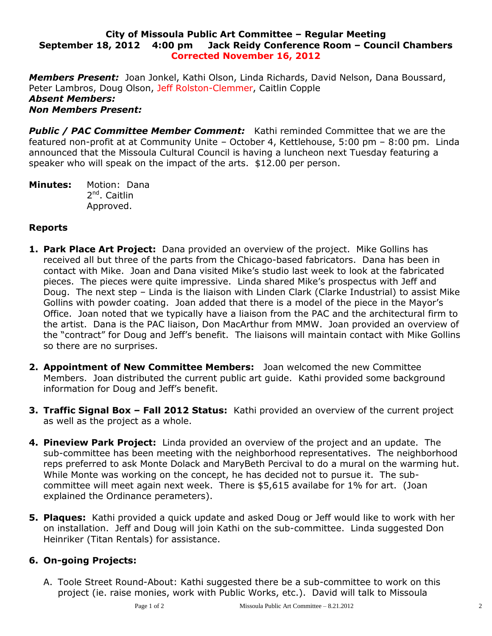## **City of Missoula Public Art Committee – Regular Meeting September 18, 2012 4:00 pm Jack Reidy Conference Room – Council Chambers Corrected November 16, 2012**

*Members Present:* Joan Jonkel, Kathi Olson, Linda Richards, David Nelson, Dana Boussard, Peter Lambros, Doug Olson, Jeff Rolston-Clemmer, Caitlin Copple *Absent Members: Non Members Present:*

*Public / PAC Committee Member Comment:* Kathi reminded Committee that we are the featured non-profit at at Community Unite – October 4, Kettlehouse, 5:00 pm – 8:00 pm. Linda announced that the Missoula Cultural Council is having a luncheon next Tuesday featuring a speaker who will speak on the impact of the arts. \$12.00 per person.

**Minutes:** Motion: Dana 2<sup>nd</sup>. Caitlin Approved.

## **Reports**

- **1. Park Place Art Project:** Dana provided an overview of the project. Mike Gollins has received all but three of the parts from the Chicago-based fabricators. Dana has been in contact with Mike. Joan and Dana visited Mike's studio last week to look at the fabricated pieces. The pieces were quite impressive. Linda shared Mike's prospectus with Jeff and Doug. The next step – Linda is the liaison with Linden Clark (Clarke Industrial) to assist Mike Gollins with powder coating. Joan added that there is a model of the piece in the Mayor's Office. Joan noted that we typically have a liaison from the PAC and the architectural firm to the artist. Dana is the PAC liaison, Don MacArthur from MMW. Joan provided an overview of the "contract" for Doug and Jeff's benefit. The liaisons will maintain contact with Mike Gollins so there are no surprises.
- **2. Appointment of New Committee Members:** Joan welcomed the new Committee Members. Joan distributed the current public art guide. Kathi provided some background information for Doug and Jeff's benefit.
- **3. Traffic Signal Box – Fall 2012 Status:** Kathi provided an overview of the current project as well as the project as a whole.
- **4. Pineview Park Project:** Linda provided an overview of the project and an update. The sub-committee has been meeting with the neighborhood representatives. The neighborhood reps preferred to ask Monte Dolack and MaryBeth Percival to do a mural on the warming hut. While Monte was working on the concept, he has decided not to pursue it. The subcommittee will meet again next week. There is \$5,615 availabe for 1% for art. (Joan explained the Ordinance perameters).
- **5. Plaques:** Kathi provided a quick update and asked Doug or Jeff would like to work with her on installation. Jeff and Doug will join Kathi on the sub-committee. Linda suggested Don Heinriker (Titan Rentals) for assistance.

## **6. On-going Projects:**

A. Toole Street Round-About: Kathi suggested there be a sub-committee to work on this project (ie. raise monies, work with Public Works, etc.). David will talk to Missoula